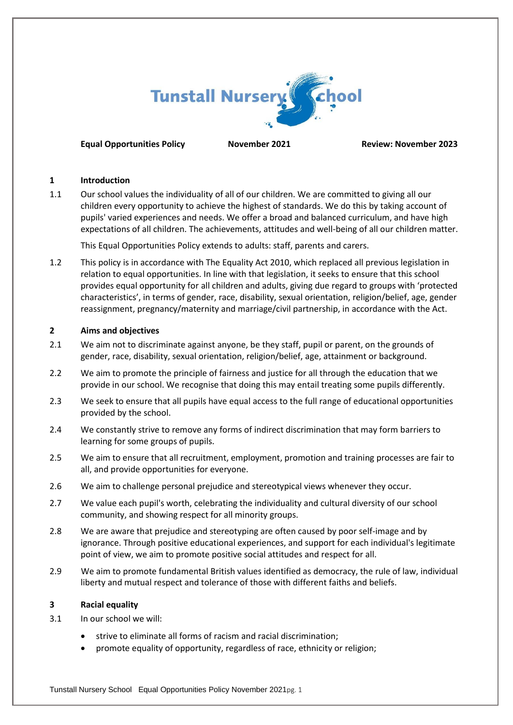

## **Equal Opportunities Policy November 2021 Review: November 2023**

#### **1 Introduction**

1.1 Our school values the individuality of all of our children. We are committed to giving all our children every opportunity to achieve the highest of standards. We do this by taking account of pupils' varied experiences and needs. We offer a broad and balanced curriculum, and have high expectations of all children. The achievements, attitudes and well-being of all our children matter.

This Equal Opportunities Policy extends to adults: staff, parents and carers.

1.2 This policy is in accordance with The Equality Act 2010, which replaced all previous legislation in relation to equal opportunities. In line with that legislation, it seeks to ensure that this school provides equal opportunity for all children and adults, giving due regard to groups with 'protected characteristics', in terms of gender, race, disability, sexual orientation, religion/belief, age, gender reassignment, pregnancy/maternity and marriage/civil partnership, in accordance with the Act.

## **2 Aims and objectives**

- 2.1 We aim not to discriminate against anyone, be they staff, pupil or parent, on the grounds of gender, race, disability, sexual orientation, religion/belief, age, attainment or background.
- 2.2 We aim to promote the principle of fairness and justice for all through the education that we provide in our school. We recognise that doing this may entail treating some pupils differently.
- 2.3 We seek to ensure that all pupils have equal access to the full range of educational opportunities provided by the school.
- 2.4 We constantly strive to remove any forms of indirect discrimination that may form barriers to learning for some groups of pupils.
- 2.5 We aim to ensure that all recruitment, employment, promotion and training processes are fair to all, and provide opportunities for everyone.
- 2.6 We aim to challenge personal prejudice and stereotypical views whenever they occur.
- 2.7 We value each pupil's worth, celebrating the individuality and cultural diversity of our school community, and showing respect for all minority groups.
- 2.8 We are aware that prejudice and stereotyping are often caused by poor self-image and by ignorance. Through positive educational experiences, and support for each individual's legitimate point of view, we aim to promote positive social attitudes and respect for all.
- 2.9 We aim to promote fundamental British values identified as democracy, the rule of law, individual liberty and mutual respect and tolerance of those with different faiths and beliefs.

## **3 Racial equality**

- 3.1 In our school we will:
	- strive to eliminate all forms of racism and racial discrimination;
	- promote equality of opportunity, regardless of race, ethnicity or religion;

Tunstall Nursery School Equal Opportunities Policy November 2021pg. 1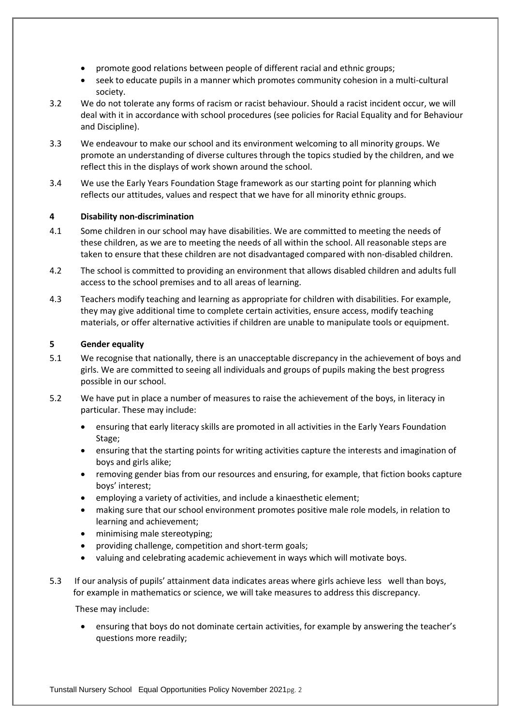- promote good relations between people of different racial and ethnic groups;
- seek to educate pupils in a manner which promotes community cohesion in a multi-cultural society.
- 3.2 We do not tolerate any forms of racism or racist behaviour. Should a racist incident occur, we will deal with it in accordance with school procedures (see policies for Racial Equality and for Behaviour and Discipline).
- 3.3 We endeavour to make our school and its environment welcoming to all minority groups. We promote an understanding of diverse cultures through the topics studied by the children, and we reflect this in the displays of work shown around the school.
- 3.4 We use the Early Years Foundation Stage framework as our starting point for planning which reflects our attitudes, values and respect that we have for all minority ethnic groups.

# **4 Disability non-discrimination**

- 4.1 Some children in our school may have disabilities. We are committed to meeting the needs of these children, as we are to meeting the needs of all within the school. All reasonable steps are taken to ensure that these children are not disadvantaged compared with non-disabled children.
- 4.2 The school is committed to providing an environment that allows disabled children and adults full access to the school premises and to all areas of learning.
- 4.3 Teachers modify teaching and learning as appropriate for children with disabilities. For example, they may give additional time to complete certain activities, ensure access, modify teaching materials, or offer alternative activities if children are unable to manipulate tools or equipment.

## **5 Gender equality**

- 5.1 We recognise that nationally, there is an unacceptable discrepancy in the achievement of boys and girls. We are committed to seeing all individuals and groups of pupils making the best progress possible in our school.
- 5.2 We have put in place a number of measures to raise the achievement of the boys, in literacy in particular. These may include:
	- ensuring that early literacy skills are promoted in all activities in the Early Years Foundation Stage;
	- ensuring that the starting points for writing activities capture the interests and imagination of boys and girls alike;
	- removing gender bias from our resources and ensuring, for example, that fiction books capture boys' interest;
	- employing a variety of activities, and include a kinaesthetic element;
	- making sure that our school environment promotes positive male role models, in relation to learning and achievement;
	- minimising male stereotyping;
	- providing challenge, competition and short-term goals;
	- valuing and celebrating academic achievement in ways which will motivate boys.
- 5.3 If our analysis of pupils' attainment data indicates areas where girls achieve less well than boys, for example in mathematics or science, we will take measures to address this discrepancy.

These may include:

• ensuring that boys do not dominate certain activities, for example by answering the teacher's questions more readily;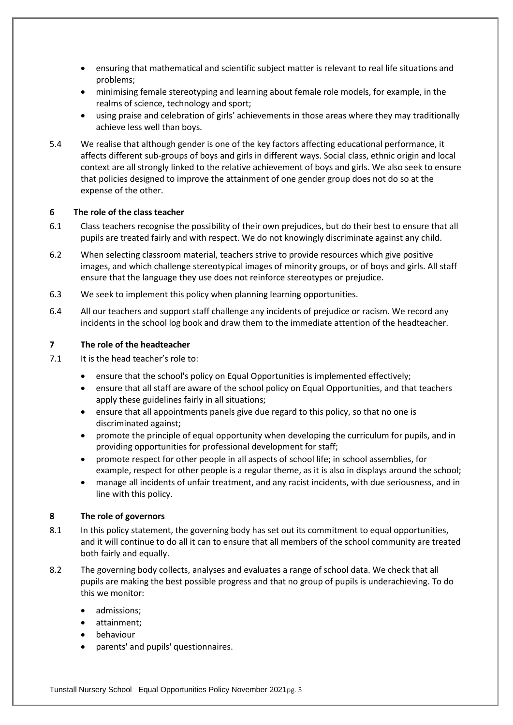- ensuring that mathematical and scientific subject matter is relevant to real life situations and problems;
- minimising female stereotyping and learning about female role models, for example, in the realms of science, technology and sport;
- using praise and celebration of girls' achievements in those areas where they may traditionally achieve less well than boys.
- 5.4 We realise that although gender is one of the key factors affecting educational performance, it affects different sub-groups of boys and girls in different ways. Social class, ethnic origin and local context are all strongly linked to the relative achievement of boys and girls. We also seek to ensure that policies designed to improve the attainment of one gender group does not do so at the expense of the other.

## **6 The role of the class teacher**

- 6.1 Class teachers recognise the possibility of their own prejudices, but do their best to ensure that all pupils are treated fairly and with respect. We do not knowingly discriminate against any child.
- 6.2 When selecting classroom material, teachers strive to provide resources which give positive images, and which challenge stereotypical images of minority groups, or of boys and girls. All staff ensure that the language they use does not reinforce stereotypes or prejudice.
- 6.3 We seek to implement this policy when planning learning opportunities.
- 6.4 All our teachers and support staff challenge any incidents of prejudice or racism. We record any incidents in the school log book and draw them to the immediate attention of the headteacher.

#### **7 The role of the headteacher**

- 7.1 It is the head teacher's role to:
	- ensure that the school's policy on Equal Opportunities is implemented effectively;
	- ensure that all staff are aware of the school policy on Equal Opportunities, and that teachers apply these guidelines fairly in all situations;
	- ensure that all appointments panels give due regard to this policy, so that no one is discriminated against;
	- promote the principle of equal opportunity when developing the curriculum for pupils, and in providing opportunities for professional development for staff;
	- promote respect for other people in all aspects of school life; in school assemblies, for example, respect for other people is a regular theme, as it is also in displays around the school;
	- manage all incidents of unfair treatment, and any racist incidents, with due seriousness, and in line with this policy.

#### **8 The role of governors**

- 8.1 In this policy statement, the governing body has set out its commitment to equal opportunities, and it will continue to do all it can to ensure that all members of the school community are treated both fairly and equally.
- 8.2 The governing body collects, analyses and evaluates a range of school data. We check that all pupils are making the best possible progress and that no group of pupils is underachieving. To do this we monitor:
	- admissions;
	- attainment;
	- behaviour
	- parents' and pupils' questionnaires.